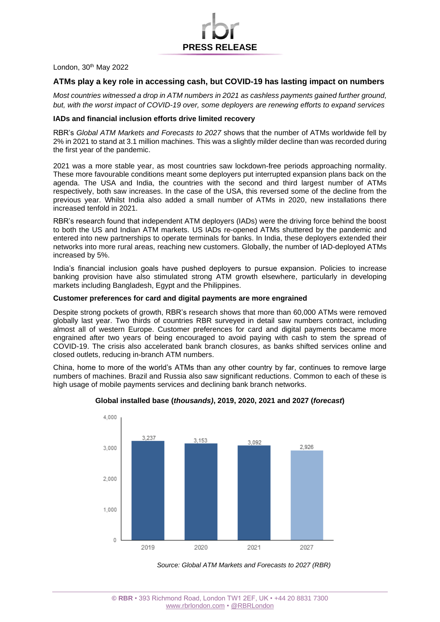London, 30th May 2022

# **ATMs play a key role in accessing cash, but COVID-19 has lasting impact on numbers**

**PRESS RELEASE**

*Most countries witnessed a drop in ATM numbers in 2021 as cashless payments gained further ground, but, with the worst impact of COVID-19 over, some deployers are renewing efforts to expand services*

## **IADs and financial inclusion efforts drive limited recovery**

RBR's *Global ATM Markets and Forecasts to 2027* shows that the number of ATMs worldwide fell by 2% in 2021 to stand at 3.1 million machines. This was a slightly milder decline than was recorded during the first year of the pandemic.

2021 was a more stable year, as most countries saw lockdown-free periods approaching normality. These more favourable conditions meant some deployers put interrupted expansion plans back on the agenda. The USA and India, the countries with the second and third largest number of ATMs respectively, both saw increases. In the case of the USA, this reversed some of the decline from the previous year. Whilst India also added a small number of ATMs in 2020, new installations there increased tenfold in 2021.

RBR's research found that independent ATM deployers (IADs) were the driving force behind the boost to both the US and Indian ATM markets. US IADs re-opened ATMs shuttered by the pandemic and entered into new partnerships to operate terminals for banks. In India, these deployers extended their networks into more rural areas, reaching new customers. Globally, the number of IAD-deployed ATMs increased by 5%.

India's financial inclusion goals have pushed deployers to pursue expansion. Policies to increase banking provision have also stimulated strong ATM growth elsewhere, particularly in developing markets including Bangladesh, Egypt and the Philippines.

#### **Customer preferences for card and digital payments are more engrained**

Despite strong pockets of growth, RBR's research shows that more than 60,000 ATMs were removed globally last year. Two thirds of countries RBR surveyed in detail saw numbers contract, including almost all of western Europe. Customer preferences for card and digital payments became more engrained after two years of being encouraged to avoid paying with cash to stem the spread of COVID-19. The crisis also accelerated bank branch closures, as banks shifted services online and closed outlets, reducing in-branch ATM numbers.

China, home to more of the world's ATMs than any other country by far, continues to remove large numbers of machines. Brazil and Russia also saw significant reductions. Common to each of these is high usage of mobile payments services and declining bank branch networks.



#### **Global installed base (***thousands)***, 2019, 2020, 2021 and 2027 (***forecast***)**

*Source: Global ATM Markets and Forecasts to 2027 (RBR)*